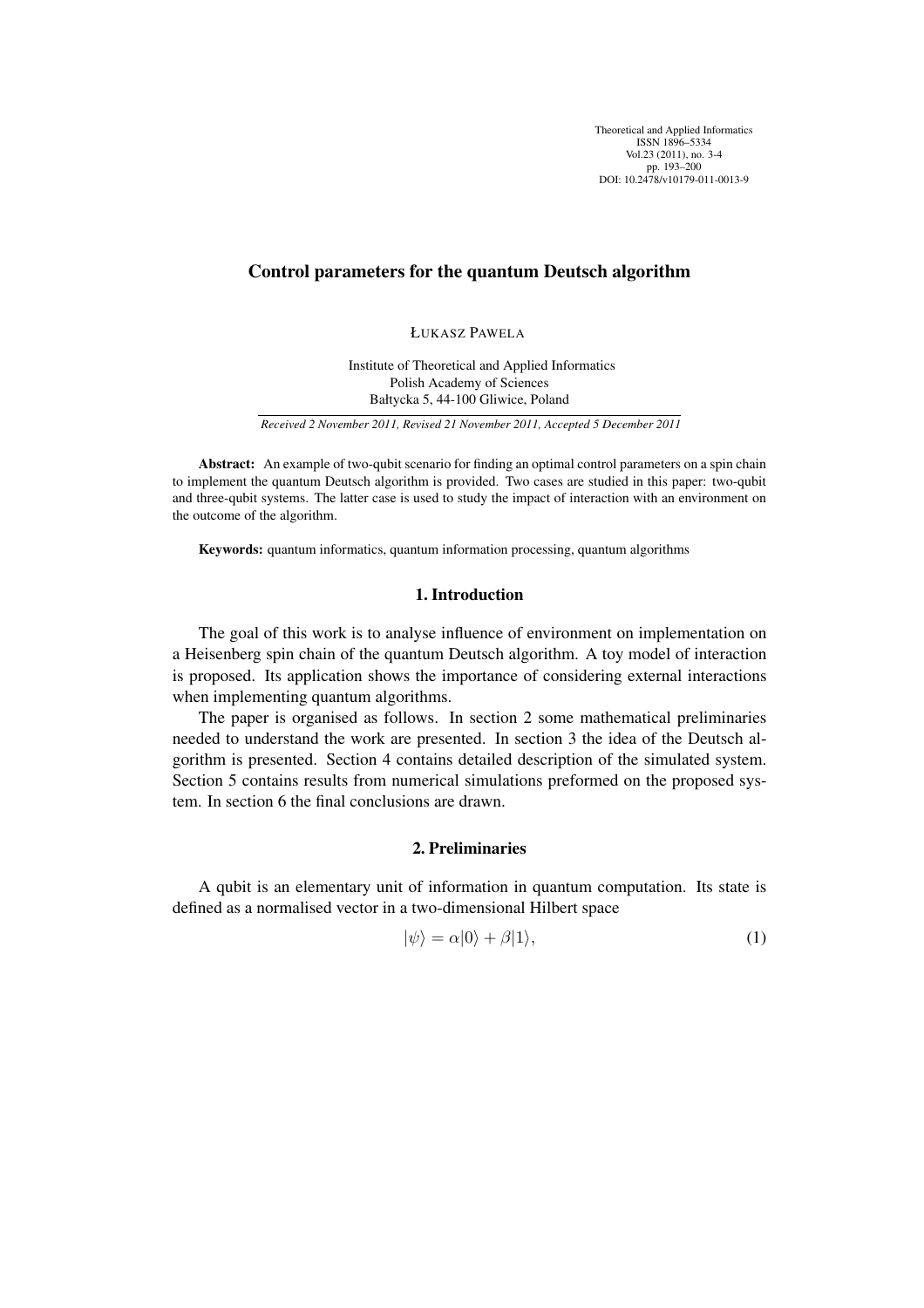Theoretical and Applied Informatics ISSN 1896–5334 Vol.23 (2011), no. 3-4 pp. 193–200 DOI: 10.2478/v10179-011-0013-9

# Control parameters for the quantum Deutsch algorithm

ŁUKASZ PAWELA

Institute of Theoretical and Applied Informatics Polish Academy of Sciences Bałtycka 5, 44-100 Gliwice, Poland

*Received 2 November 2011, Revised 21 November 2011, Accepted 5 December 2011*

Abstract: An example of two-qubit scenario for finding an optimal control parameters on a spin chain to implement the quantum Deutsch algorithm is provided. Two cases are studied in this paper: two-qubit and three-qubit systems. The latter case is used to study the impact of interaction with an environment on the outcome of the algorithm.

Keywords: quantum informatics, quantum information processing, quantum algorithms

# 1. Introduction

The goal of this work is to analyse influence of environment on implementation on a Heisenberg spin chain of the quantum Deutsch algorithm. A toy model of interaction is proposed. Its application shows the importance of considering external interactions when implementing quantum algorithms.

The paper is organised as follows. In section 2 some mathematical preliminaries needed to understand the work are presented. In section 3 the idea of the Deutsch algorithm is presented. Section 4 contains detailed description of the simulated system. Section 5 contains results from numerical simulations preformed on the proposed system. In section 6 the final conclusions are drawn.

# 2. Preliminaries

A qubit is an elementary unit of information in quantum computation. Its state is defined as a normalised vector in a two-dimensional Hilbert space

$$
|\psi\rangle = \alpha|0\rangle + \beta|1\rangle,\tag{1}
$$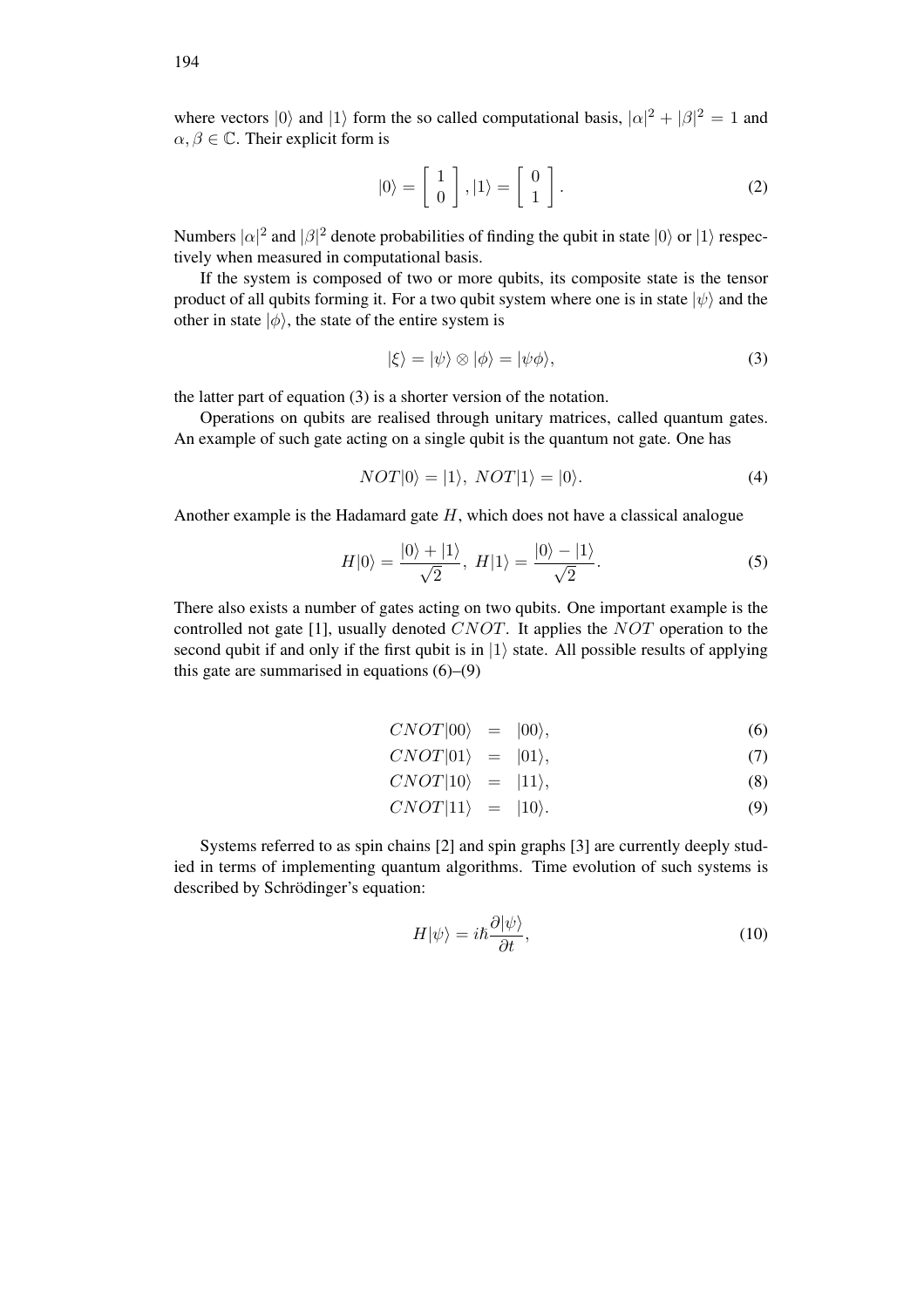where vectors  $|0\rangle$  and  $|1\rangle$  form the so called computational basis,  $|\alpha|^2 + |\beta|^2 = 1$  and  $\alpha, \beta \in \mathbb{C}$ . Their explicit form is

$$
|0\rangle = \begin{bmatrix} 1 \\ 0 \end{bmatrix}, |1\rangle = \begin{bmatrix} 0 \\ 1 \end{bmatrix}.
$$
 (2)

Numbers  $|\alpha|^2$  and  $|\beta|^2$  denote probabilities of finding the qubit in state  $|0\rangle$  or  $|1\rangle$  respectively when measured in computational basis.

If the system is composed of two or more qubits, its composite state is the tensor product of all qubits forming it. For a two qubit system where one is in state  $|\psi\rangle$  and the other in state  $|\phi\rangle$ , the state of the entire system is

$$
|\xi\rangle = |\psi\rangle \otimes |\phi\rangle = |\psi\phi\rangle,\tag{3}
$$

the latter part of equation (3) is a shorter version of the notation.

Operations on qubits are realised through unitary matrices, called quantum gates. An example of such gate acting on a single qubit is the quantum not gate. One has

$$
NOT|0\rangle = |1\rangle, NOT|1\rangle = |0\rangle. \tag{4}
$$

Another example is the Hadamard gate  $H$ , which does not have a classical analogue

$$
H|0\rangle = \frac{|0\rangle + |1\rangle}{\sqrt{2}}, \ H|1\rangle = \frac{|0\rangle - |1\rangle}{\sqrt{2}}.
$$
 (5)

There also exists a number of gates acting on two qubits. One important example is the controlled not gate [1], usually denoted CNOT. It applies the NOT operation to the second qubit if and only if the first qubit is in  $|1\rangle$  state. All possible results of applying this gate are summarised in equations  $(6)$ – $(9)$ 

$$
CNOT|00\rangle = |00\rangle, \tag{6}
$$

$$
CNOT|01\rangle = |01\rangle, \tag{7}
$$
  
\n
$$
CNOT|10\rangle = |11\rangle \tag{8}
$$

$$
CNOT|10\rangle = |11\rangle,\tag{0}
$$

$$
CNOT|11\rangle = |10\rangle. \tag{9}
$$

Systems referred to as spin chains [2] and spin graphs [3] are currently deeply studied in terms of implementing quantum algorithms. Time evolution of such systems is described by Schrödinger's equation:

$$
H|\psi\rangle = i\hbar \frac{\partial |\psi\rangle}{\partial t},\qquad(10)
$$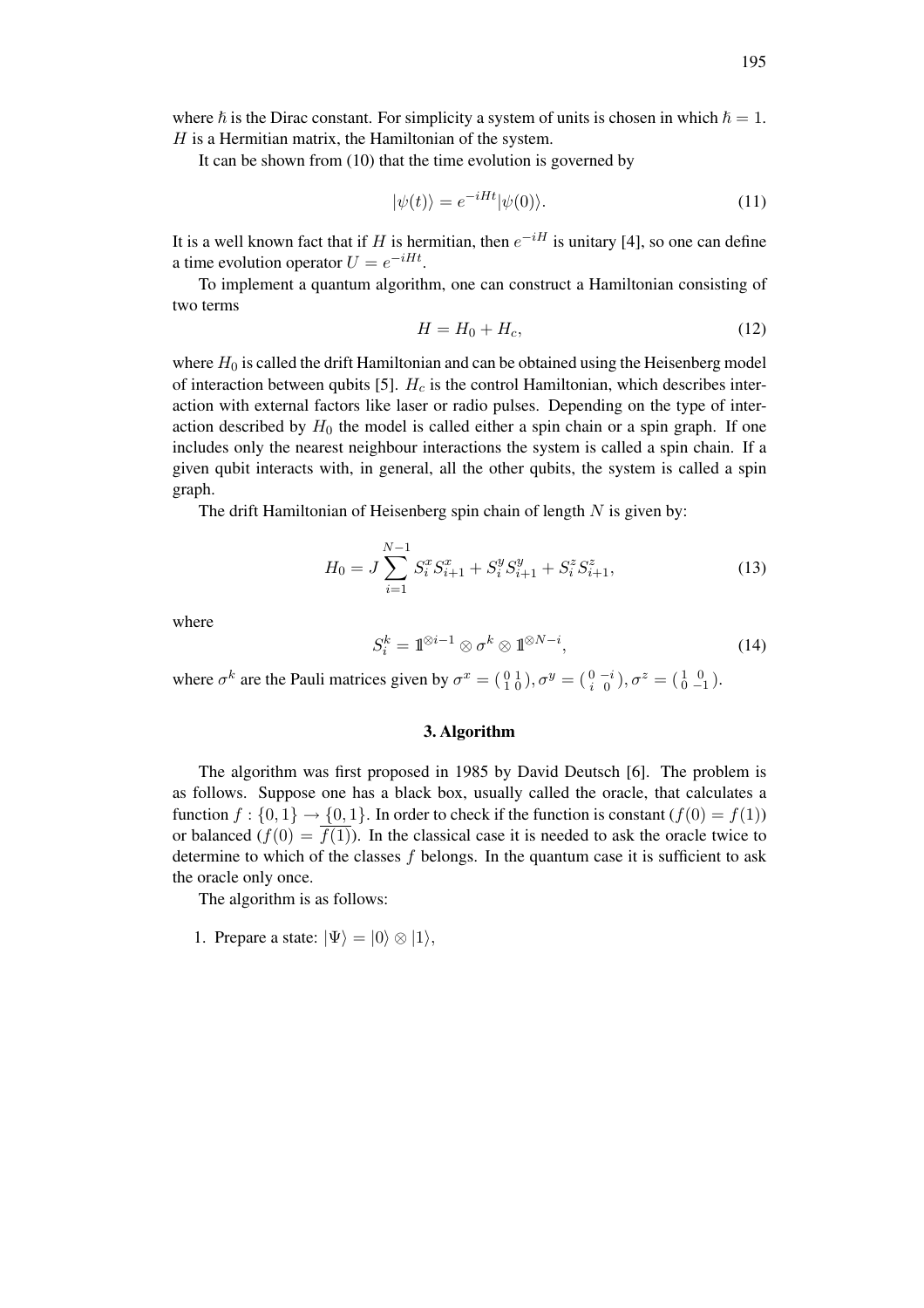where  $\hbar$  is the Dirac constant. For simplicity a system of units is chosen in which  $\hbar = 1$ .  $H$  is a Hermitian matrix, the Hamiltonian of the system.

It can be shown from (10) that the time evolution is governed by

$$
|\psi(t)\rangle = e^{-iHt}|\psi(0)\rangle.
$$
 (11)

It is a well known fact that if H is hermitian, then  $e^{-iH}$  is unitary [4], so one can define a time evolution operator  $U = e^{-iHt}$ .

To implement a quantum algorithm, one can construct a Hamiltonian consisting of two terms

$$
H = H_0 + H_c,\tag{12}
$$

where  $H_0$  is called the drift Hamiltonian and can be obtained using the Heisenberg model of interaction between qubits [5].  $H_c$  is the control Hamiltonian, which describes interaction with external factors like laser or radio pulses. Depending on the type of interaction described by  $H_0$  the model is called either a spin chain or a spin graph. If one includes only the nearest neighbour interactions the system is called a spin chain. If a given qubit interacts with, in general, all the other qubits, the system is called a spin graph.

The drift Hamiltonian of Heisenberg spin chain of length  $N$  is given by:

$$
H_0 = J \sum_{i=1}^{N-1} S_i^x S_{i+1}^x + S_i^y S_{i+1}^y + S_i^z S_{i+1}^z,
$$
\n(13)

where

$$
S_i^k = \mathbb{1}^{\otimes i-1} \otimes \sigma^k \otimes \mathbb{1}^{\otimes N-i},\tag{14}
$$

where  $\sigma^k$  are the Pauli matrices given by  $\sigma^x = \begin{pmatrix} 0 & 1 \\ 1 & 0 \end{pmatrix}$ ,  $\sigma^y = \begin{pmatrix} 0 & -i \\ i & 0 \end{pmatrix}$ ,  $\sigma^z = \begin{pmatrix} 1 & 0 \\ 0 & -1 \end{pmatrix}$ .

#### 3. Algorithm

The algorithm was first proposed in 1985 by David Deutsch [6]. The problem is as follows. Suppose one has a black box, usually called the oracle, that calculates a function  $f : \{0, 1\} \rightarrow \{0, 1\}$ . In order to check if the function is constant  $(f(0) = f(1))$ or balanced  $(f(0) = \overline{f(1)})$ . In the classical case it is needed to ask the oracle twice to determine to which of the classes  $f$  belongs. In the quantum case it is sufficient to ask the oracle only once.

The algorithm is as follows:

1. Prepare a state:  $|\Psi\rangle = |0\rangle \otimes |1\rangle$ ,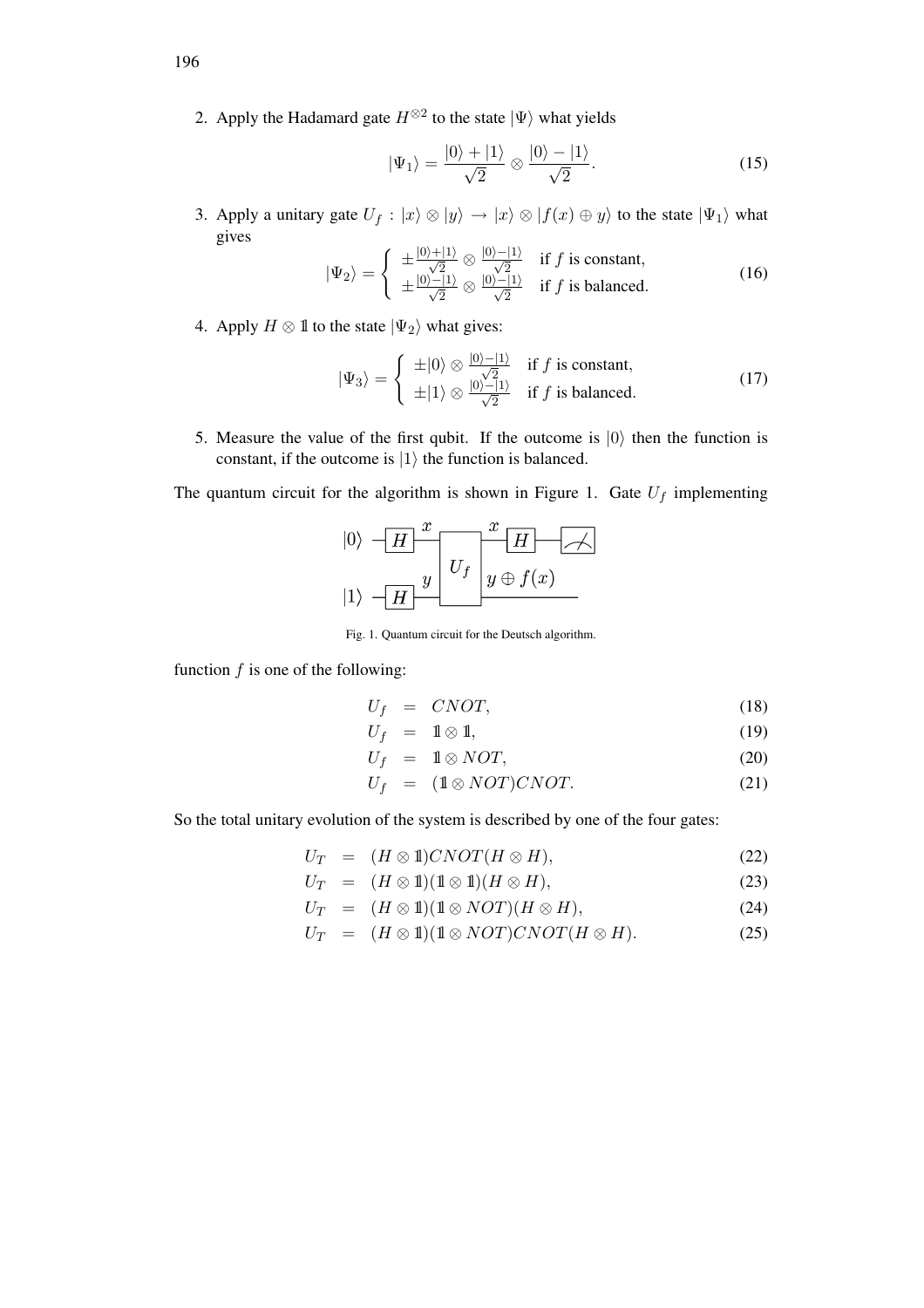2. Apply the Hadamard gate  $H^{\otimes 2}$  to the state  $|\Psi\rangle$  what yields

$$
|\Psi_1\rangle = \frac{|0\rangle + |1\rangle}{\sqrt{2}} \otimes \frac{|0\rangle - |1\rangle}{\sqrt{2}}.
$$
 (15)

3. Apply a unitary gate  $U_f : |x\rangle \otimes |y\rangle \rightarrow |x\rangle \otimes |f(x) \oplus y\rangle$  to the state  $|\Psi_1\rangle$  what gives  $\overline{\phantom{a}}$ 

$$
|\Psi_2\rangle = \begin{cases} \pm \frac{|0\rangle + |1\rangle}{\sqrt{2}} \otimes \frac{|0\rangle - |1\rangle}{\sqrt{2}} & \text{if } f \text{ is constant,} \\ \pm \frac{|0\rangle - |1\rangle}{\sqrt{2}} \otimes \frac{|0\rangle - |1\rangle}{\sqrt{2}} & \text{if } f \text{ is balanced.} \end{cases}
$$
(16)

4. Apply  $H \otimes \mathbb{1}$  to the state  $|\Psi_2\rangle$  what gives:

$$
|\Psi_3\rangle = \begin{cases} \pm |0\rangle \otimes \frac{|0\rangle - |1\rangle}{\sqrt{2}} & \text{if } f \text{ is constant,} \\ \pm |1\rangle \otimes \frac{|0\rangle - |1\rangle}{\sqrt{2}} & \text{if } f \text{ is balanced.} \end{cases}
$$
(17)

5. Measure the value of the first qubit. If the outcome is  $|0\rangle$  then the function is constant, if the outcome is  $|1\rangle$  the function is balanced.

The quantum circuit for the algorithm is shown in Figure 1. Gate  $U_f$  implementing

$$
|0\rangle \leftarrow H \frac{x}{U_f} \frac{x}{y \oplus f(x)}
$$
  

$$
|1\rangle \leftarrow H \frac{y}{U_f} \frac{x}{y \oplus f(x)}
$$

Fig. 1. Quantum circuit for the Deutsch algorithm.

function  $f$  is one of the following:

$$
U_f = CNOT, \t\t(18)
$$

$$
U_f = 1 \otimes 1, \tag{19}
$$

$$
U_f = \mathbb{1} \otimes NOT,
$$
 (20)

$$
U_f = (1 \otimes NOT)CNOT. \tag{21}
$$

So the total unitary evolution of the system is described by one of the four gates:

$$
U_T = (H \otimes 1) CNOT (H \otimes H), \qquad (22)
$$

$$
U_T = (H \otimes 1)(1 \otimes 1)(H \otimes H), \tag{23}
$$

$$
U_T = (H \otimes 1)(1 \otimes NOT)(H \otimes H), \tag{24}
$$

$$
U_T = (H \otimes 1)(1 \otimes NOT)CNOT(H \otimes H). \tag{25}
$$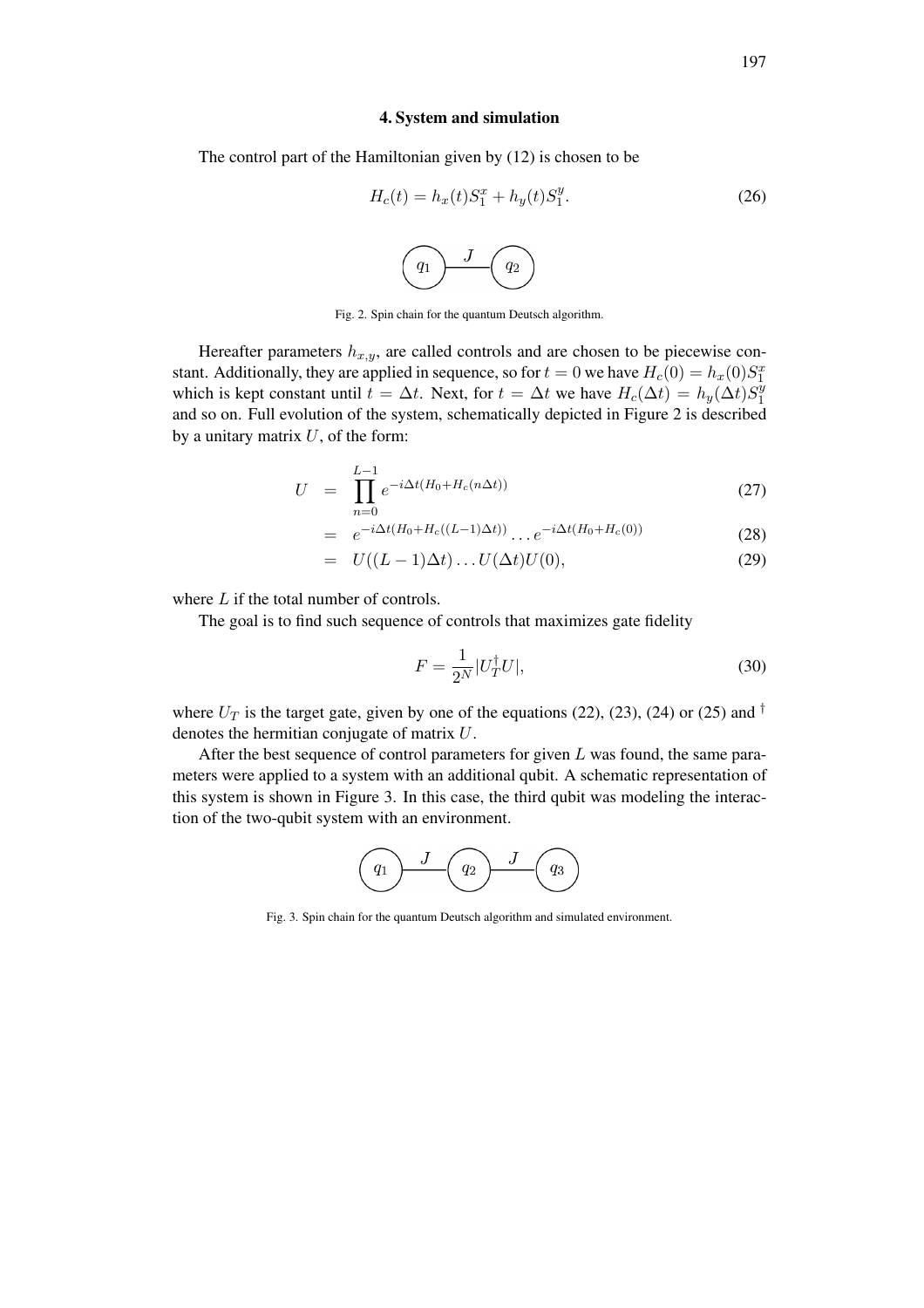#### 4. System and simulation

The control part of the Hamiltonian given by (12) is chosen to be

$$
H_c(t) = h_x(t)S_1^x + h_y(t)S_1^y.
$$
\n
$$
(26)
$$
\n
$$
g_1 \longrightarrow g_2
$$

Fig. 2. Spin chain for the quantum Deutsch algorithm.

Hereafter parameters  $h_{x,y}$ , are called controls and are chosen to be piecewise constant. Additionally, they are applied in sequence, so for  $t = 0$  we have  $H_c(0) = h_x(0)S_1^x$ which is kept constant until  $t = \Delta t$ . Next, for  $t = \Delta t$  we have  $H_c(\Delta t) = h_y(\Delta t)S_1^y$ 1 and so on. Full evolution of the system, schematically depicted in Figure 2 is described by a unitary matrix  $U$ , of the form:

$$
U = \prod_{n=0}^{L-1} e^{-i\Delta t (H_0 + H_c(n\Delta t))}
$$
\n(27)

$$
= e^{-i\Delta t(H_0 + H_c((L-1)\Delta t))} \dots e^{-i\Delta t(H_0 + H_c(0))}
$$
\n(28)

$$
= U((L-1)\Delta t)\dots U(\Delta t)U(0), \qquad (29)
$$

where L if the total number of controls.

The goal is to find such sequence of controls that maximizes gate fidelity

$$
F = \frac{1}{2^N} |U_T^{\dagger} U|,\tag{30}
$$

where  $U_T$  is the target gate, given by one of the equations (22), (23), (24) or (25) and  $^{\dagger}$ denotes the hermitian conjugate of matrix U.

After the best sequence of control parameters for given  $L$  was found, the same parameters were applied to a system with an additional qubit. A schematic representation of this system is shown in Figure 3. In this case, the third qubit was modeling the interaction of the two-qubit system with an environment.



Fig. 3. Spin chain for the quantum Deutsch algorithm and simulated environment.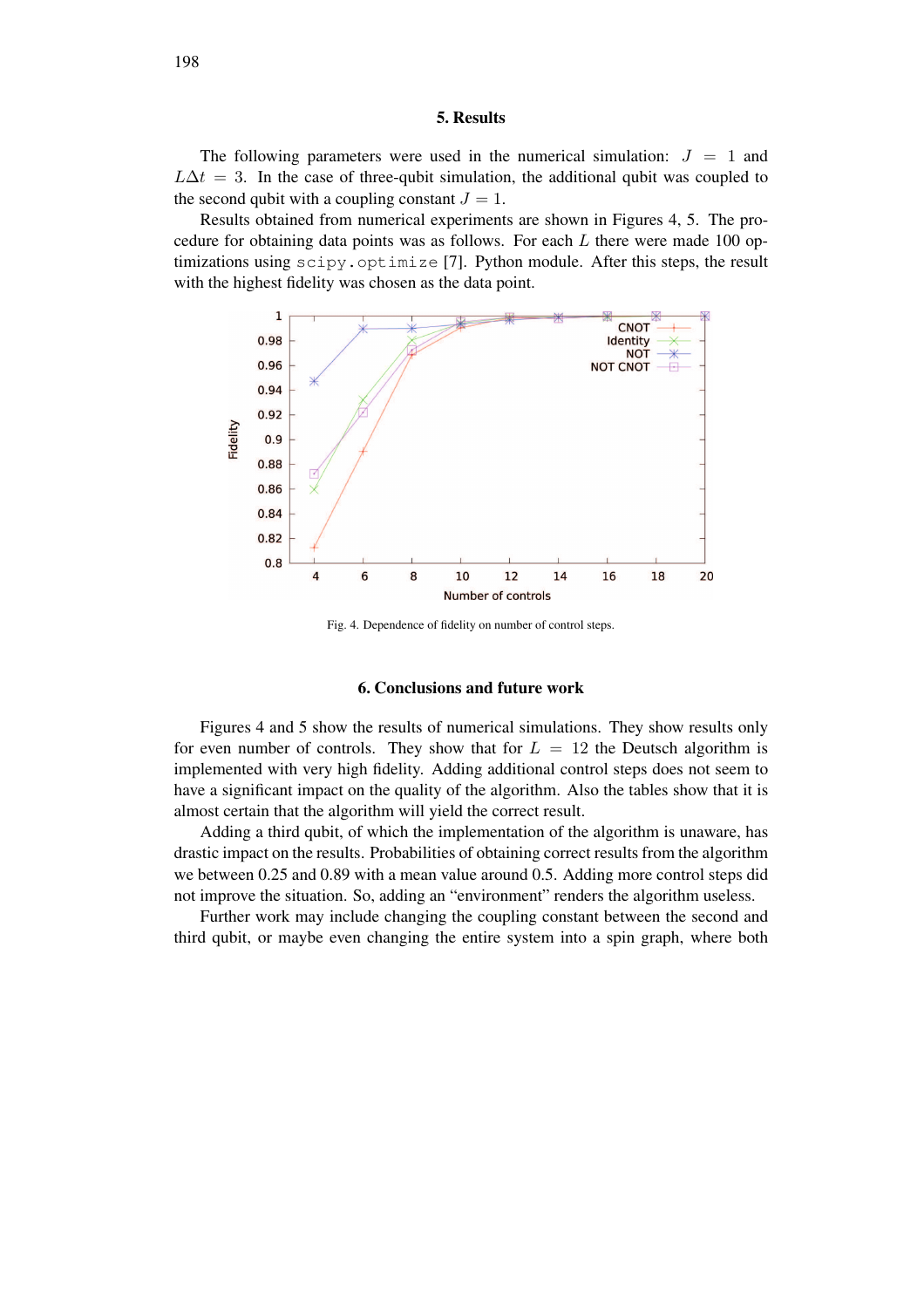#### 5. Results

The following parameters were used in the numerical simulation:  $J = 1$  and  $L\Delta t = 3$ . In the case of three-qubit simulation, the additional qubit was coupled to the second qubit with a coupling constant  $J = 1$ .

Results obtained from numerical experiments are shown in Figures 4, 5. The procedure for obtaining data points was as follows. For each  $L$  there were made 100 optimizations using scipy.optimize [7]. Python module. After this steps, the result with the highest fidelity was chosen as the data point.



Fig. 4. Dependence of fidelity on number of control steps.

#### 6. Conclusions and future work

Figures 4 and 5 show the results of numerical simulations. They show results only for even number of controls. They show that for  $L = 12$  the Deutsch algorithm is implemented with very high fidelity. Adding additional control steps does not seem to have a significant impact on the quality of the algorithm. Also the tables show that it is almost certain that the algorithm will yield the correct result.

Adding a third qubit, of which the implementation of the algorithm is unaware, has drastic impact on the results. Probabilities of obtaining correct results from the algorithm we between 0.25 and 0.89 with a mean value around 0.5. Adding more control steps did not improve the situation. So, adding an "environment" renders the algorithm useless.

Further work may include changing the coupling constant between the second and third qubit, or maybe even changing the entire system into a spin graph, where both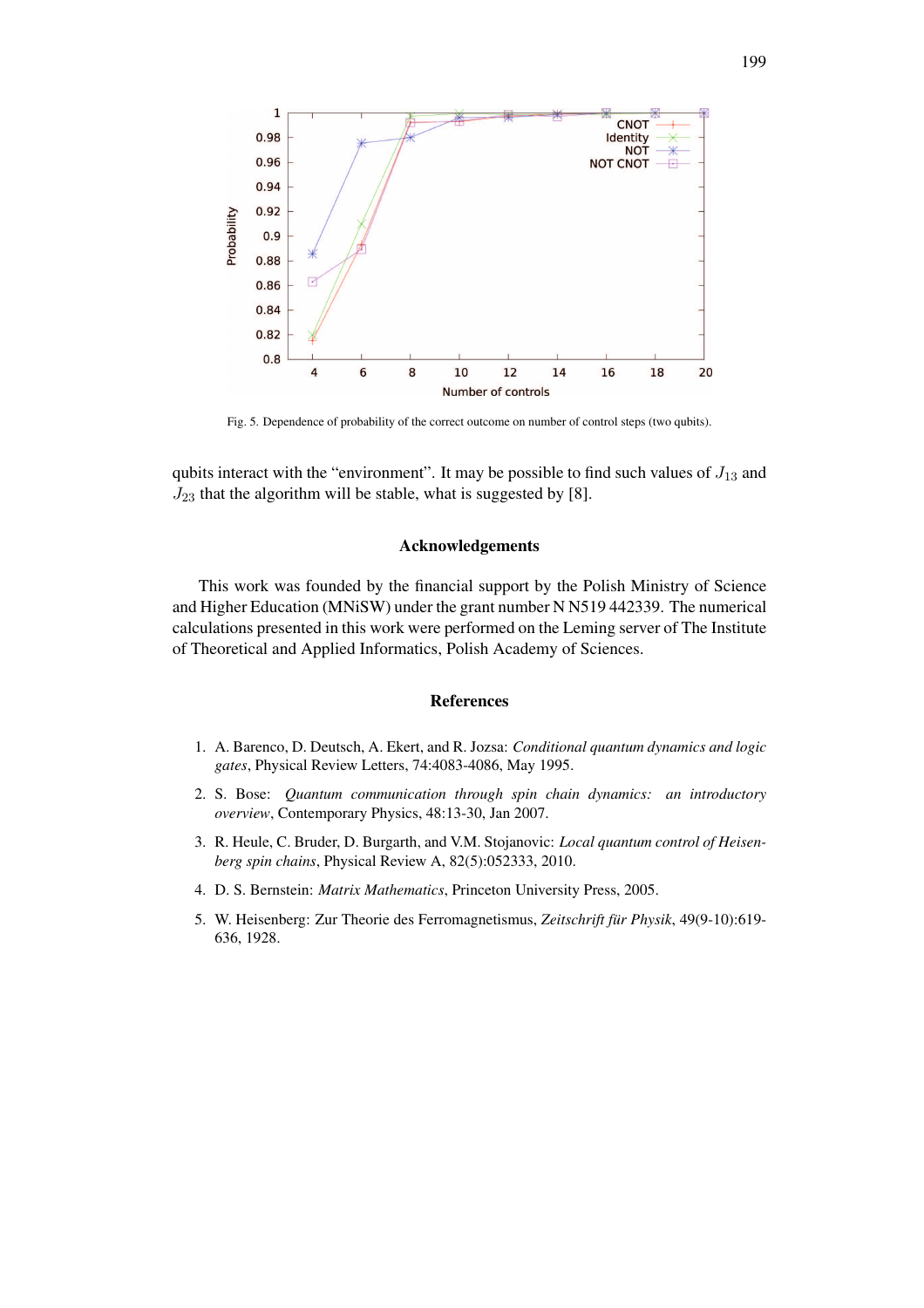

Fig. 5. Dependence of probability of the correct outcome on number of control steps (two qubits).

qubits interact with the "environment". It may be possible to find such values of  $J_{13}$  and  $J_{23}$  that the algorithm will be stable, what is suggested by [8].

## Acknowledgements

This work was founded by the financial support by the Polish Ministry of Science and Higher Education (MNiSW) under the grant number N N519 442339. The numerical calculations presented in this work were performed on the Leming server of The Institute of Theoretical and Applied Informatics, Polish Academy of Sciences.

#### References

- 1. A. Barenco, D. Deutsch, A. Ekert, and R. Jozsa: *Conditional quantum dynamics and logic gates*, Physical Review Letters, 74:4083-4086, May 1995.
- 2. S. Bose: *Quantum communication through spin chain dynamics: an introductory overview*, Contemporary Physics, 48:13-30, Jan 2007.
- 3. R. Heule, C. Bruder, D. Burgarth, and V.M. Stojanovic: *Local quantum control of Heisenberg spin chains*, Physical Review A, 82(5):052333, 2010.
- 4. D. S. Bernstein: *Matrix Mathematics*, Princeton University Press, 2005.
- 5. W. Heisenberg: Zur Theorie des Ferromagnetismus, *Zeitschrift für Physik*, 49(9-10):619- 636, 1928.